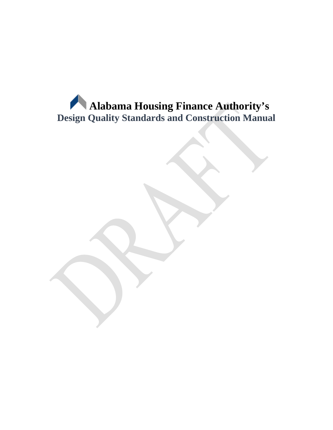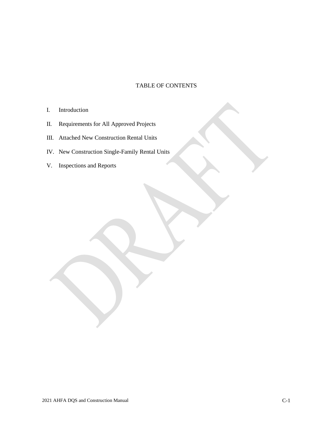## TABLE OF CONTENTS

- I. Introduction
- II. Requirements for All Approved Projects
- III. Attached New Construction Rental Units
- IV. New Construction Single-Family Rental Units
- V. Inspections and Reports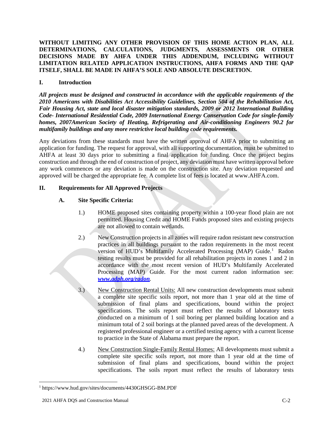**WITHOUT LIMITING ANY OTHER PROVISION OF THIS HOME ACTION PLAN, ALL DETERMINATIONS, CALCULATIONS, JUDGMENTS, ASSESSMENTS OR OTHER DECISIONS MADE BY AHFA UNDER THIS ADDENDUM, INCLUDING WITHOUT LIMITATION RELATED APPLICATION INSTRUCTIONS, AHFA FORMS AND THE QAP ITSELF, SHALL BE MADE IN AHFA'S SOLE AND ABSOLUTE DISCRETION.**

## **I. Introduction**

*All projects must be designed and constructed in accordance with the applicable requirements of the 2010 Americans with Disabilities Act Accessibility Guidelines, Section 504 of the Rehabilitation Act, Fair Housing Act, state and local disaster mitigation standards, 2009 or 2012 International Building Code- International Residential Code, 2009 International Energy Conservation Code for single-family homes, 2007American Society of Heating, Refrigerating and Air-conditioning Engineers 90.2 for multifamily buildings and any more restrictive local building code requirements.*

Any deviations from these standards must have the written approval of AHFA prior to submitting an application for funding. The request for approval, with all supporting documentation, must be submitted to AHFA at least 30 days prior to submitting a final application for funding. Once the project begins construction and through the end of construction of project, any deviation must have written approval before any work commences or any deviation is made on the construction site. Any deviation requested and approved will be charged the appropriate fee. A complete list of fees is located at www.AHFA.com.

# **II. Requirements for All Approved Projects**

# **A. Site Specific Criteria:**

- 1.) HOME proposed sites containing property within a 100-year flood plain are not permitted. Housing Credit and HOME Funds proposed sites and existing projects are not allowed to contain wetlands.
- 2.) New Construction projects in all zones will require radon resistant new construction practices in all buildings pursuant to the radon requirements in the most recent version of HUD's Multifamily Accelerated Processing (MAP) Guide.<sup>[1](#page-2-0)</sup> Radon testing results must be provided for all rehabilitation projects in zones 1 and 2 in accordance with the most recent version of HUD's Multifamily Accelerated Processing (MAP) Guide. For the most current radon information see: *www.adph.org/radon.*
- 3.) New Construction Rental Units: All new construction developments must submit a complete site specific soils report, not more than 1 year old at the time of submission of final plans and specifications, bound within the project specifications. The soils report must reflect the results of laboratory tests conducted on a minimum of 1 soil boring per planned building location and a minimum total of 2 soil borings at the planned paved areas of the development. A registered professional engineer or a certified testing agency with a current license to practice in the State of Alabama must prepare the report.
- 4.) New Construction Single-Family Rental Homes: All developments must submit a complete site specific soils report, not more than 1 year old at the time of submission of final plans and specifications, bound within the project specifications. The soils report must reflect the results of laboratory tests

<span id="page-2-0"></span><sup>1</sup> https://www.hud.gov/sites/documents/4430GHSGG-BM.PDF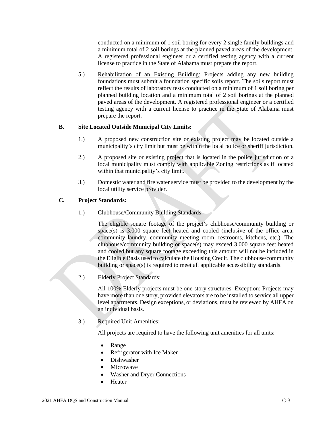conducted on a minimum of 1 soil boring for every 2 single family buildings and a minimum total of 2 soil borings at the planned paved areas of the development. A registered professional engineer or a certified testing agency with a current license to practice in the State of Alabama must prepare the report.

5.) Rehabilitation of an Existing Building: Projects adding any new building foundations must submit a foundation specific soils report. The soils report must reflect the results of laboratory tests conducted on a minimum of 1 soil boring per planned building location and a minimum total of 2 soil borings at the planned paved areas of the development. A registered professional engineer or a certified testing agency with a current license to practice in the State of Alabama must prepare the report.

## **B. Site Located Outside Municipal City Limits:**

- 1.) A proposed new construction site or existing project may be located outside a municipality's city limit but must be within the local police or sheriff jurisdiction.
- 2.) A proposed site or existing project that is located in the police jurisdiction of a local municipality must comply with applicable Zoning restrictions as if located within that municipality's city limit.
- 3.) Domestic water and fire water service must be provided to the development by the local utility service provider.

## **C. Project Standards:**

1.) Clubhouse/Community Building Standards:

The eligible square footage of the project's clubhouse/community building or space(s) is 3,000 square feet heated and cooled (inclusive of the office area, community laundry, community meeting room, restrooms, kitchens, etc.). The clubhouse/community building or space(s) may exceed 3,000 square feet heated and cooled but any square footage exceeding this amount will not be included in the Eligible Basis used to calculate the Housing Credit. The clubhouse/community building or space(s) is required to meet all applicable accessibility standards.

2.) Elderly Project Standards:

All 100% Elderly projects must be one-story structures. Exception: Projects may have more than one story, provided elevators are to be installed to service all upper level apartments. Design exceptions, or deviations, must be reviewed by AHFA on an individual basis.

3.) Required Unit Amenities:

All projects are required to have the following unit amenities for all units:

- Range
- Refrigerator with Ice Maker
- Dishwasher
- **Microwave**
- Washer and Dryer Connections
- **Heater**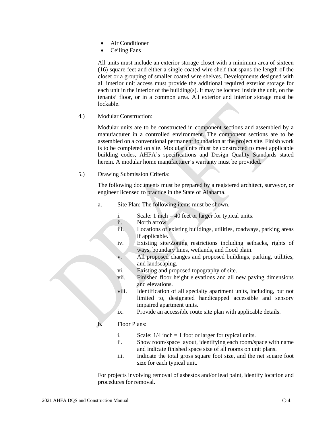- Air Conditioner
- Ceiling Fans

All units must include an exterior storage closet with a minimum area of sixteen (16) square feet and either a single coated wire shelf that spans the length of the closet or a grouping of smaller coated wire shelves. Developments designed with all interior unit access must provide the additional required exterior storage for each unit in the interior of the building(s). It may be located inside the unit, on the tenants' floor, or in a common area. All exterior and interior storage must be lockable.

4.) Modular Construction:

Modular units are to be constructed in component sections and assembled by a manufacturer in a controlled environment. The component sections are to be assembled on a conventional permanent foundation at the project site. Finish work is to be completed on site. Modular units must be constructed to meet applicable building codes, AHFA's specifications and Design Quality Standards stated herein. A modular home manufacturer's warranty must be provided.

5.) Drawing Submission Criteria:

The following documents must be prepared by a registered architect, surveyor, or engineer licensed to practice in the State of Alabama.

- a. Site Plan: The following items must be shown.
	- i. Scale: 1 inch = 40 feet or larger for typical units.
	- ii. North arrow.
	- iii. Locations of existing buildings, utilities, roadways, parking areas if applicable.
	- iv. Existing site/Zoning restrictions including setbacks, rights of ways, boundary lines, wetlands, and flood plain.
	- v. All proposed changes and proposed buildings, parking, utilities, and landscaping.
	- vi. Existing and proposed topography of site.
	- vii. Finished floor height elevations and all new paving dimensions and elevations.
	- viii. Identification of all specialty apartment units, including, but not limited to, designated handicapped accessible and sensory impaired apartment units.
	- ix. Provide an accessible route site plan with applicable details.

### b. Floor Plans:

- i. Scale:  $1/4$  inch = 1 foot or larger for typical units.
- ii. Show room/space layout, identifying each room/space with name and indicate finished space size of all rooms on unit plans.
- iii. Indicate the total gross square foot size, and the net square foot size for each typical unit.

For projects involving removal of asbestos and/or lead paint, identify location and procedures for removal.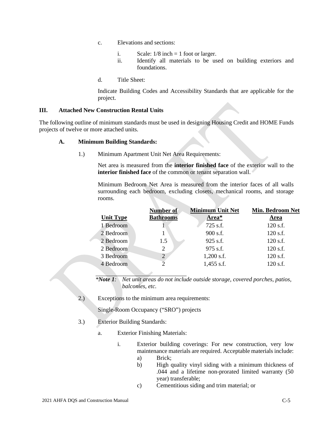- c. Elevations and sections:
	- i. Scale:  $1/8$  inch = 1 foot or larger.
	- ii. Identify all materials to be used on building exteriors and foundations.
- d. Title Sheet:

Indicate Building Codes and Accessibility Standards that are applicable for the project.

### **III. Attached New Construction Rental Units**

The following outline of minimum standards must be used in designing Housing Credit and HOME Funds projects of twelve or more attached units.

### **A. Minimum Building Standards:**

1.) Minimum Apartment Unit Net Area Requirements:

Net area is measured from the **interior finished face** of the exterior wall to the **interior finished face** of the common or tenant separation wall.

Minimum Bedroom Net Area is measured from the interior faces of all walls surrounding each bedroom, excluding closets, mechanical rooms, and storage rooms.

|                  | Number of        | <b>Minimum Unit Net</b> | <b>Min. Bedroom Net</b> |
|------------------|------------------|-------------------------|-------------------------|
| <b>Unit Type</b> | <b>Bathrooms</b> | Area*                   | Area                    |
| 1 Bedroom        |                  | 725 s.f.                | 120 s.f.                |
| 2 Bedroom        |                  | $900$ s.f.              | 120 s.f.                |
| 2 Bedroom        | 1.5              | $925$ s.f.              | 120 s.f.                |
| 2 Bedroom        | 2                | 975 s.f.                | 120 s.f.                |
| 3 Bedroom        | 2                | $1,200$ s.f.            | 120 s.f.                |
| 4 Bedroom        |                  | $1,455$ s.f.            | 120 s.f.                |
|                  |                  |                         |                         |

*\*Note 1: Net unit areas do not include outside storage, covered porches, patios, balconies, etc.*

2.) Exceptions to the minimum area requirements:

Single-Room Occupancy ("SRO") projects

- 3.) Exterior Building Standards:
	- a. Exterior Finishing Materials:
		- i. Exterior building coverings: For new construction, very low maintenance materials are required. Acceptable materials include: a) Brick;
			- b) High quality vinyl siding with a minimum thickness of .044 and a lifetime non-prorated limited warranty (50 year) transferable;
			- c) Cementitious siding and trim material; or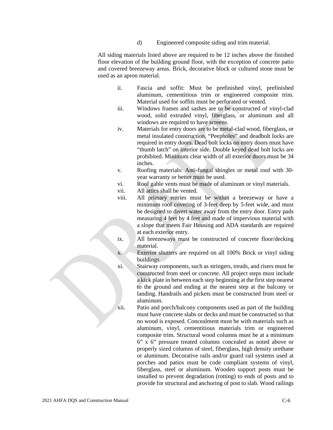d) Engineered composite siding and trim material.

All siding materials listed above are required to be 12 inches above the finished floor elevation of the building ground floor, with the exception of concrete patio and covered breezeway areas. Brick, decorative block or cultured stone must be used as an apron material.

- ii. Fascia and soffit: Must be prefinished vinyl, prefinished aluminum, cementitious trim or engineered composite trim. Material used for soffits must be perforated or vented.
- iii. Windows frames and sashes are to be constructed of vinyl-clad wood, solid extruded vinyl, fiberglass, or aluminum and all windows are required to have screens.
- iv. Materials for entry doors are to be metal-clad wood, fiberglass, or metal insulated construction. "Peepholes" and deadbolt locks are required in entry doors. Dead bolt locks on entry doors must have "thumb latch" on interior side. Double keyed dead bolt locks are prohibited. Minimum clear width of all exterior doors must be 34 inches.
- v. Roofing materials: Anti-fungal shingles or metal roof with 30 year warranty or better must be used.
- vi. Roof gable vents must be made of aluminum or vinyl materials.
- vii. All attics shall be vented.
- viii. All primary entries must be within a breezeway or have a minimum roof covering of 3-feet deep by 5-feet wide, and must be designed to divert water away from the entry door. Entry pads measuring 4 feet by 4 feet and made of impervious material with a slope that meets Fair Housing and ADA standards are required at each exterior entry.
- ix. All breezeways must be constructed of concrete floor/decking material.
- x. Exterior shutters are required on all 100% Brick or vinyl siding buildings.
- xi. Stairway components, such as stringers, treads, and risers must be constructed from steel or concrete. All project steps must include a kick plate in between each step beginning at the first step nearest to the ground and ending at the nearest step at the balcony or landing. Handrails and pickets must be constructed from steel or aluminum.
- xii. Patio and porch/balcony components used as part of the building must have concrete slabs or decks and must be constructed so that no wood is exposed. Concealment must be with materials such as aluminum, vinyl, cementitious materials trim or engineered composite trim. Structural wood columns must be at a minimum 6" x 6" pressure treated columns concealed as noted above or properly sized columns of steel, fiberglass, high density urethane or aluminum. Decorative rails and/or guard rail systems used at porches and patios must be code compliant systems of vinyl, fiberglass, steel or aluminum. Wooden support posts must be installed to prevent degradation (rotting) to ends of posts and to provide for structural and anchoring of post to slab. Wood railings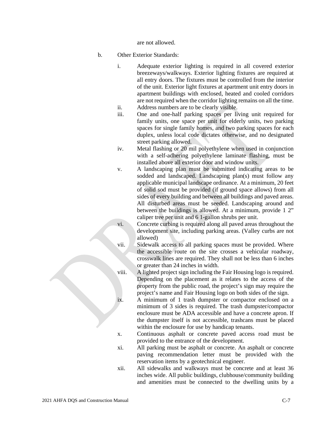are not allowed.

- b. Other Exterior Standards:
	- i. Adequate exterior lighting is required in all covered exterior breezeways/walkways. Exterior lighting fixtures are required at all entry doors. The fixtures must be controlled from the interior of the unit. Exterior light fixtures at apartment unit entry doors in apartment buildings with enclosed, heated and cooled corridors are not required when the corridor lighting remains on all the time.
	- ii. Address numbers are to be clearly visible.
	- iii. One and one-half parking spaces per living unit required for family units, one space per unit for elderly units, two parking spaces for single family homes, and two parking spaces for each duplex, unless local code dictates otherwise, and no designated street parking allowed.
	- iv. Metal flashing or 20 mil polyethylene when used in conjunction with a self-adhering polyethylene laminate flashing, must be installed above all exterior door and window units.
	- v. A landscaping plan must be submitted indicating areas to be sodded and landscaped. Landscaping plan(s) must follow any applicable municipal landscape ordinance. At a minimum, 20 feet of solid sod must be provided (if ground space allows) from all sides of every building and between all buildings and paved areas. All disturbed areas must be seeded. Landscaping around and between the buildings is allowed. At a minimum, provide 1 2" caliper tree per unit and 6 1-gallon shrubs per unit.

vi. Concrete curbing is required along all paved areas throughout the development site, including parking areas. (Valley curbs are not allowed)

vii. Sidewalk access to all parking spaces must be provided. Where the accessible route on the site crosses a vehicular roadway, crosswalk lines are required. They shall not be less than 6 inches or greater than 24 inches in width.

viii. A lighted project sign including the Fair Housing logo is required. Depending on the placement as it relates to the access of the property from the public road, the project's sign may require the project's name and Fair Housing logo on both sides of the sign.

ix. A minimum of 1 trash dumpster or compactor enclosed on a minimum of 3 sides is required. The trash dumpster/compactor enclosure must be ADA accessible and have a concrete apron. If the dumpster itself is not accessible, trashcans must be placed within the enclosure for use by handicap tenants.

x. Continuous asphalt or concrete paved access road must be provided to the entrance of the development.

xi. All parking must be asphalt or concrete. An asphalt or concrete paving recommendation letter must be provided with the reservation items by a geotechnical engineer.

xii. All sidewalks and walkways must be concrete and at least 36 inches wide. All public buildings, clubhouse/community building and amenities must be connected to the dwelling units by a

2021 AHFA DQS and Construction Manual C-7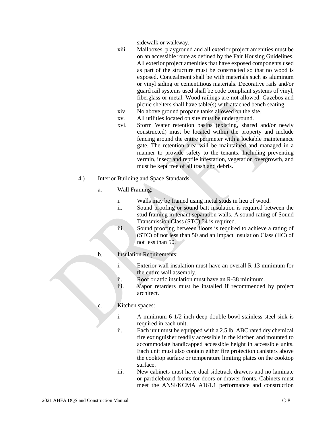sidewalk or walkway.

- xiii. Mailboxes, playground and all exterior project amenities must be on an accessible route as defined by the Fair Housing Guidelines. All exterior project amenities that have exposed components used as part of the structure must be constructed so that no wood is exposed. Concealment shall be with materials such as aluminum or vinyl siding or cementitious materials. Decorative rails and/or guard rail systems used shall be code compliant systems of vinyl, fiberglass or metal. Wood railings are not allowed. Gazebos and picnic shelters shall have table(s) with attached bench seating.
- xiv. No above ground propane tanks allowed on the site.
- xv. All utilities located on site must be underground.
- xvi. Storm Water retention basins (existing, shared and/or newly constructed) must be located within the property and include fencing around the entire perimeter with a lockable maintenance gate. The retention area will be maintained and managed in a manner to provide safety to the tenants. Including preventing vermin, insect and reptile infestation, vegetation overgrowth, and must be kept free of all trash and debris.
- 4.) Interior Building and Space Standards:
	- a. Wall Framing:
		- i. Walls may be framed using metal studs in lieu of wood.
		- ii. Sound proofing or sound batt insulation is required between the stud framing in tenant separation walls. A sound rating of Sound Transmission Class (STC) 54 is required.
		- iii. Sound proofing between floors is required to achieve a rating of (STC) of not less than 50 and an Impact Insulation Class (IIC) of not less than 50.
	- b. Insulation Requirements:
		- i. Exterior wall insulation must have an overall R-13 minimum for the entire wall assembly.
		- ii. Roof or attic insulation must have an R-38 minimum.
		- iii. Vapor retarders must be installed if recommended by project architect.
	- c. Kitchen spaces:
		- i. A minimum 6 1/2-inch deep double bowl stainless steel sink is required in each unit.
		- ii. Each unit must be equipped with a 2.5 lb. ABC rated dry chemical fire extinguisher readily accessible in the kitchen and mounted to accommodate handicapped accessible height in accessible units. Each unit must also contain either fire protection canisters above the cooktop surface or temperature limiting plates on the cooktop surface.
		- iii. New cabinets must have dual sidetrack drawers and no laminate or particleboard fronts for doors or drawer fronts. Cabinets must meet the ANSI/KCMA A161.1 performance and construction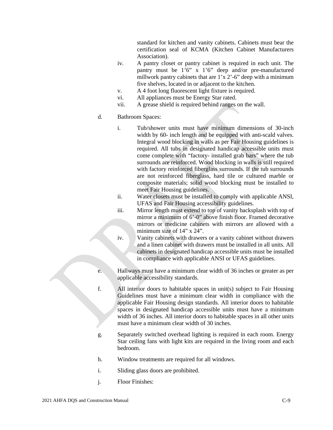standard for kitchen and vanity cabinets. Cabinets must bear the certification seal of KCMA (Kitchen Cabinet Manufacturers Association).

- iv. A pantry closet or pantry cabinet is required in each unit. The pantry must be 1'6" x 1'6" deep and/or pre-manufactured millwork pantry cabinets that are 1'x 2'-6" deep with a minimum five shelves, located in or adjacent to the kitchen.
- v. A 4 foot long fluorescent light fixture is required.
- vi. All appliances must be Energy Star rated.
- vii. A grease shield is required behind ranges on the wall.

### d. Bathroom Spaces:

- i. Tub/shower units must have minimum dimensions of 30-inch width by 60- inch length and be equipped with anti-scald valves. Integral wood blocking in walls as per Fair Housing guidelines is required. All tubs in designated handicap accessible units must come complete with "factory- installed grab bars" where the tub surrounds are reinforced. Wood blocking in walls is still required with factory reinforced fiberglass surrounds. If the tub surrounds are not reinforced fiberglass, hard tile or cultured marble or composite materials; solid wood blocking must be installed to meet Fair Housing guidelines.
- ii. Water closets must be installed to comply with applicable ANSI, UFAS and Fair Housing accessibility guidelines.
- iii. Mirror length must extend to top of vanity backsplash with top of mirror a minimum of 6'-0" above finish floor. Framed decorative mirrors or medicine cabinets with mirrors are allowed with a minimum size of 14" x 24".
- iv. Vanity cabinets with drawers or a vanity cabinet without drawers and a linen cabinet with drawers must be installed in all units. All cabinets in designated handicap accessible units must be installed in compliance with applicable ANSI or UFAS guidelines.
- e. Hallways must have a minimum clear width of 36 inches or greater as per applicable accessibility standards.
- f. All interior doors to habitable spaces in unit(s) subject to Fair Housing Guidelines must have a minimum clear width in compliance with the applicable Fair Housing design standards. All interior doors to habitable spaces in designated handicap accessible units must have a minimum width of 36 inches. All interior doors to habitable spaces in all other units must have a minimum clear width of 30 inches.
- g. Separately switched overhead lighting is required in each room. Energy Star ceiling fans with light kits are required in the living room and each bedroom.
- h. Window treatments are required for all windows.
- i. Sliding glass doors are prohibited.
- j. Floor Finishes: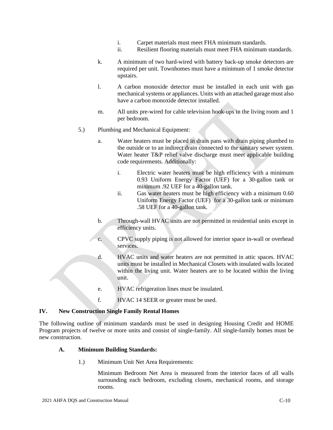- i. Carpet materials must meet FHA minimum standards.
- ii. Resilient flooring materials must meet FHA minimum standards.
- k. A minimum of two hard-wired with battery back-up smoke detectors are required per unit. Townhomes must have a minimum of 1 smoke detector upstairs.
- l. A carbon monoxide detector must be installed in each unit with gas mechanical systems or appliances. Units with an attached garage must also have a carbon monoxide detector installed.
- m. All units pre-wired for cable television hook-ups in the living room and 1 per bedroom.
- 5.) Plumbing and Mechanical Equipment:
	- a. Water heaters must be placed in drain pans with drain piping plumbed to the outside or to an indirect drain connected to the sanitary sewer system. Water heater T&P relief valve discharge must meet applicable building code requirements. Additionally:
		- i. Electric water heaters must be high efficiency with a minimum 0.93 Uniform Energy Factor (UEF) for a 30-gallon tank or minimum .92 UEF for a 40-gallon tank.
		- ii. Gas water heaters must be high efficiency with a minimum 0.60 Uniform Energy Factor (UEF) for a 30-gallon tank or minimum .58 UEF for a 40-gallon tank.
	- b. Through-wall HVAC units are not permitted in residential units except in efficiency units.
	- c. CPVC supply piping is not allowed for interior space in-wall or overhead services.
	- d. HVAC units and water heaters are not permitted in attic spaces. HVAC units must be installed in Mechanical Closets with insulated walls located within the living unit. Water heaters are to be located within the living unit.
	- e. HVAC refrigeration lines must be insulated.
	- f. HVAC 14 SEER or greater must be used.

#### **IV. New Construction Single Family Rental Homes**

The following outline of minimum standards must be used in designing Housing Credit and HOME Program projects of twelve or more units and consist of single-family. All single-family homes must be new construction.

#### **A. Minimum Building Standards:**

1.) Minimum Unit Net Area Requirements:

Minimum Bedroom Net Area is measured from the interior faces of all walls surrounding each bedroom, excluding closets, mechanical rooms, and storage rooms.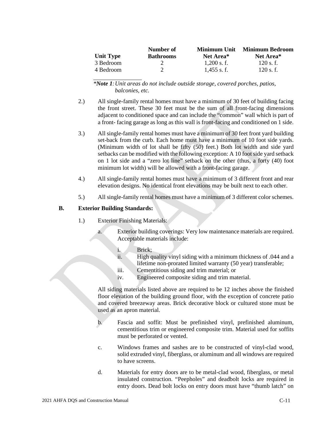|                  | Number of        | Minimum Unit  | <b>Minimum Bedroom</b> |
|------------------|------------------|---------------|------------------------|
| <b>Unit Type</b> | <b>Bathrooms</b> | Net Area*     | Net Area <sup>*</sup>  |
| 3 Bedroom        |                  | $1.200$ s. f. | $120$ s. f.            |
| 4 Bedroom        |                  | $1.455$ s.f.  | $120$ s. f.            |

*\*Note 1:Unit areas do not include outside storage, covered porches, patios, balconies, etc.*

- 2.) All single-family rental homes must have a minimum of 30 feet of building facing the front street. These 30 feet must be the sum of all front-facing dimensions adjacent to conditioned space and can include the "common" wall which is part of a front- facing garage as long as this wall is front-facing and conditioned on 1 side.
- 3.) All single-family rental homes must have a minimum of 30 feet front yard building set-back from the curb. Each home must have a minimum of 10 foot side yards. (Minimum width of lot shall be fifty (50) feet.) Both lot width and side yard setbacks can be modified with the following exception: A 10 foot side yard setback on 1 lot side and a "zero lot line" setback on the other (thus, a forty (40) foot minimum lot width) will be allowed with a front-facing garage.
- 4.) All single-family rental homes must have a minimum of 3 different front and rear elevation designs. No identical front elevations may be built next to each other.
- 5.) All single-family rental homes must have a minimum of 3 different color schemes.

### **B. Exterior Building Standards:**

- 1.) Exterior Finishing Materials:
	- a. Exterior building coverings: Very low maintenance materials are required. Acceptable materials include:
		- i. Brick;
		- ii. High quality vinyl siding with a minimum thickness of .044 and a lifetime non-prorated limited warranty (50 year) transferable;
		- iii. Cementitious siding and trim material; or
		- iv. Engineered composite siding and trim material.

All siding materials listed above are required to be 12 inches above the finished floor elevation of the building ground floor, with the exception of concrete patio and covered breezeway areas. Brick decorative block or cultured stone must be used as an apron material.

- b. Fascia and soffit: Must be prefinished vinyl, prefinished aluminum, cementitious trim or engineered composite trim. Material used for soffits must be perforated or vented.
- c. Windows frames and sashes are to be constructed of vinyl-clad wood, solid extruded vinyl, fiberglass, or aluminum and all windows are required to have screens.
- d. Materials for entry doors are to be metal-clad wood, fiberglass, or metal insulated construction. "Peepholes" and deadbolt locks are required in entry doors. Dead bolt locks on entry doors must have "thumb latch" on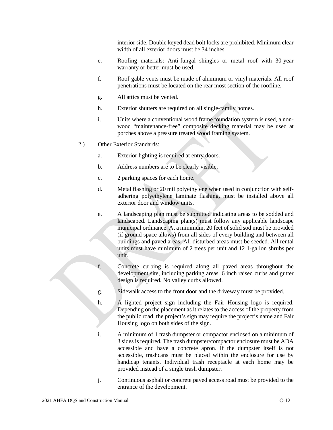interior side. Double keyed dead bolt locks are prohibited. Minimum clear width of all exterior doors must be 34 inches.

- e. Roofing materials: Anti-fungal shingles or metal roof with 30-year warranty or better must be used.
- f. Roof gable vents must be made of aluminum or vinyl materials. All roof penetrations must be located on the rear most section of the roofline.
- g. All attics must be vented.
- h. Exterior shutters are required on all single-family homes.
- i. Units where a conventional wood frame foundation system is used, a nonwood "maintenance-free" composite decking material may be used at porches above a pressure treated wood framing system.
- 2.) Other Exterior Standards:
	- a. Exterior lighting is required at entry doors.
	- b. Address numbers are to be clearly visible.
	- c. 2 parking spaces for each home.
	- d. Metal flashing or 20 mil polyethylene when used in conjunction with selfadhering polyethylene laminate flashing, must be installed above all exterior door and window units.
	- e. A landscaping plan must be submitted indicating areas to be sodded and landscaped. Landscaping plan(s) must follow any applicable landscape municipal ordinance. At a minimum, 20 feet of solid sod must be provided (if ground space allows) from all sides of every building and between all buildings and paved areas. All disturbed areas must be seeded. All rental units must have minimum of 2 trees per unit and 12 1-gallon shrubs per unit.
	- f. Concrete curbing is required along all paved areas throughout the development site, including parking areas. 6 inch raised curbs and gutter design is required. No valley curbs allowed.
	- g. Sidewalk access to the front door and the driveway must be provided.
	- h. A lighted project sign including the Fair Housing logo is required. Depending on the placement as it relates to the access of the property from the public road, the project's sign may require the project's name and Fair Housing logo on both sides of the sign.
	- i. A minimum of 1 trash dumpster or compactor enclosed on a minimum of 3 sides is required. The trash dumpster/compactor enclosure must be ADA accessible and have a concrete apron. If the dumpster itself is not accessible, trashcans must be placed within the enclosure for use by handicap tenants. Individual trash receptacle at each home may be provided instead of a single trash dumpster.
	- j. Continuous asphalt or concrete paved access road must be provided to the entrance of the development.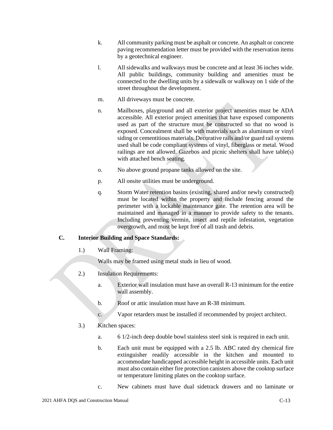- k. All community parking must be asphalt or concrete. An asphalt or concrete paving recommendation letter must be provided with the reservation items by a geotechnical engineer.
- l. All sidewalks and walkways must be concrete and at least 36 inches wide. All public buildings, community building and amenities must be connected to the dwelling units by a sidewalk or walkway on 1 side of the street throughout the development.
- m. All driveways must be concrete.
- n. Mailboxes, playground and all exterior project amenities must be ADA accessible. All exterior project amenities that have exposed components used as part of the structure must be constructed so that no wood is exposed. Concealment shall be with materials such as aluminum or vinyl siding or cementitious materials. Decorative rails and/or guard rail systems used shall be code compliant systems of vinyl, fiberglass or metal. Wood railings are not allowed. Gazebos and picnic shelters shall have table(s) with attached bench seating.
- o. No above ground propane tanks allowed on the site.
- p. All onsite utilities must be underground.
- q. Storm Water retention basins (existing, shared and/or newly constructed) must be located within the property and include fencing around the perimeter with a lockable maintenance gate. The retention area will be maintained and managed in a manner to provide safety to the tenants. Including preventing vermin, insect and reptile infestation, vegetation overgrowth, and must be kept free of all trash and debris.

# **C. Interior Building and Space Standards:**

1.) Wall Framing:

Walls may be framed using metal studs in lieu of wood.

- 2.) Insulation Requirements:
	- a. Exterior wall insulation must have an overall R-13 minimum for the entire wall assembly.
	- b. Roof or attic insulation must have an R-38 minimum.
	- c. Vapor retarders must be installed if recommended by project architect.
- 3.) Kitchen spaces:
	- a. 6 1/2-inch deep double bowl stainless steel sink is required in each unit.
	- b. Each unit must be equipped with a 2.5 lb. ABC rated dry chemical fire extinguisher readily accessible in the kitchen and mounted to accommodate handicapped accessible height in accessible units. Each unit must also contain either fire protection canisters above the cooktop surface or temperature limiting plates on the cooktop surface.
	- c. New cabinets must have dual sidetrack drawers and no laminate or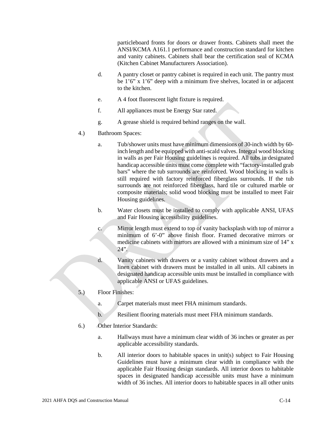particleboard fronts for doors or drawer fronts. Cabinets shall meet the ANSI/KCMA A161.1 performance and construction standard for kitchen and vanity cabinets. Cabinets shall bear the certification seal of KCMA (Kitchen Cabinet Manufacturers Association).

- d. A pantry closet or pantry cabinet is required in each unit. The pantry must be 1'6" x 1'6" deep with a minimum five shelves, located in or adjacent to the kitchen.
- e. A 4 foot fluorescent light fixture is required.
- f. All appliances must be Energy Star rated.
- g. A grease shield is required behind ranges on the wall.
- 4.) Bathroom Spaces:
	- a. Tub/shower units must have minimum dimensions of 30-inch width by 60 inch length and be equipped with anti-scald valves. Integral wood blocking in walls as per Fair Housing guidelines is required. All tubs in designated handicap accessible units must come complete with "factory-installed grab bars" where the tub surrounds are reinforced. Wood blocking in walls is still required with factory reinforced fiberglass surrounds. If the tub surrounds are not reinforced fiberglass, hard tile or cultured marble or composite materials; solid wood blocking must be installed to meet Fair Housing guidelines.
	- b. Water closets must be installed to comply with applicable ANSI, UFAS and Fair Housing accessibility guidelines.
	- c. Mirror length must extend to top of vanity backsplash with top of mirror a minimum of 6'-0" above finish floor. Framed decorative mirrors or medicine cabinets with mirrors are allowed with a minimum size of 14" x  $24$ ".
	- d. Vanity cabinets with drawers or a vanity cabinet without drawers and a linen cabinet with drawers must be installed in all units. All cabinets in designated handicap accessible units must be installed in compliance with applicable ANSI or UFAS guidelines.
- 5.) Floor Finishes:
	- a. Carpet materials must meet FHA minimum standards.
	- b. Resilient flooring materials must meet FHA minimum standards.
- 6.) Other Interior Standards:
	- a. Hallways must have a minimum clear width of 36 inches or greater as per applicable accessibility standards.
	- b. All interior doors to habitable spaces in unit(s) subject to Fair Housing Guidelines must have a minimum clear width in compliance with the applicable Fair Housing design standards. All interior doors to habitable spaces in designated handicap accessible units must have a minimum width of 36 inches. All interior doors to habitable spaces in all other units